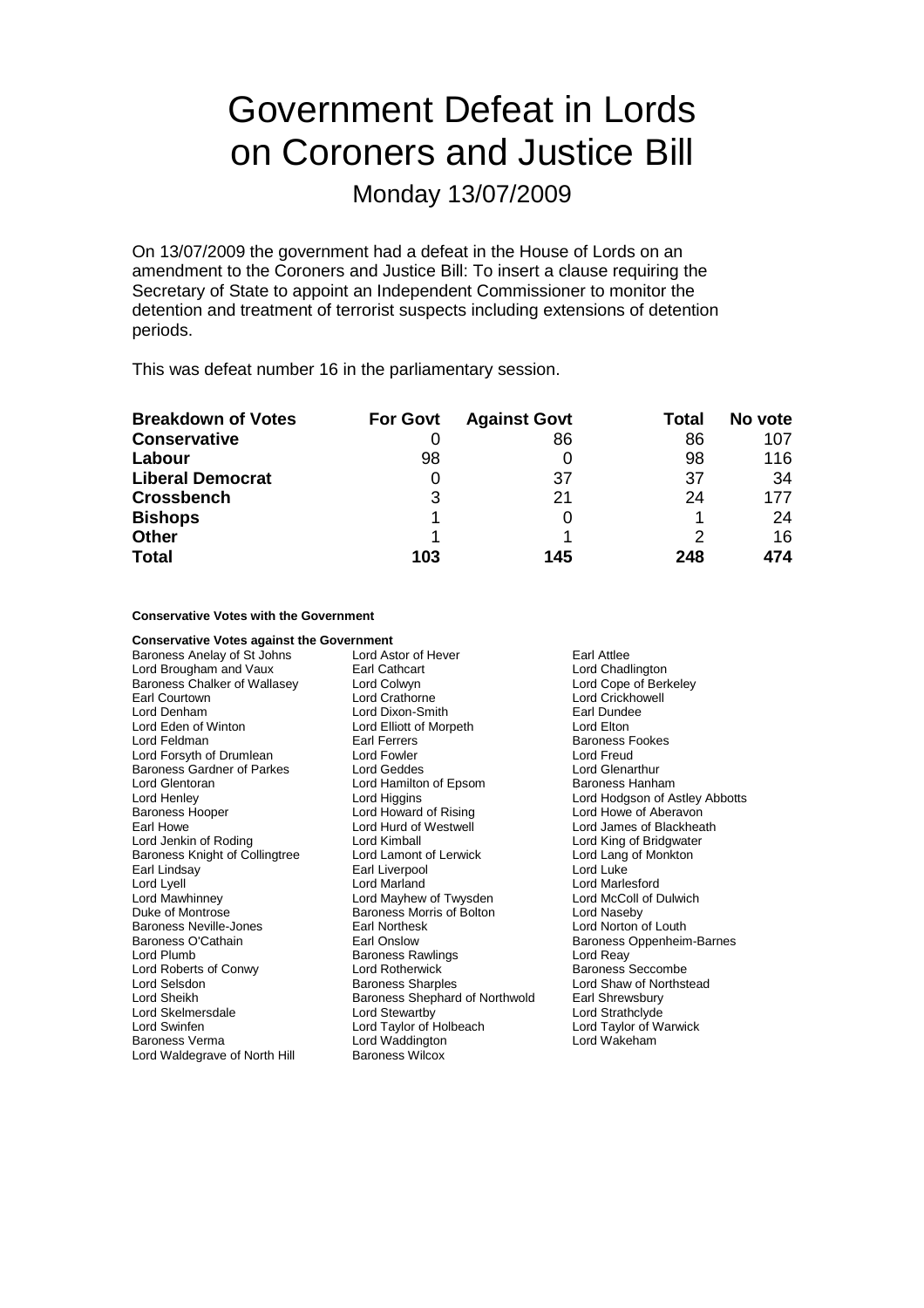# Government Defeat in Lords on Coroners and Justice Bill

Monday 13/07/2009

On 13/07/2009 the government had a defeat in the House of Lords on an amendment to the Coroners and Justice Bill: To insert a clause requiring the Secretary of State to appoint an Independent Commissioner to monitor the detention and treatment of terrorist suspects including extensions of detention periods.

This was defeat number 16 in the parliamentary session.

| <b>Breakdown of Votes</b> | <b>For Govt</b> | <b>Against Govt</b> | Total | No vote |
|---------------------------|-----------------|---------------------|-------|---------|
| <b>Conservative</b>       |                 | 86                  | 86    | 107     |
| Labour                    | 98              |                     | 98    | 116     |
| <b>Liberal Democrat</b>   |                 | 37                  | 37    | 34      |
| <b>Crossbench</b>         | 3               | 21                  | 24    | 177     |
| <b>Bishops</b>            |                 |                     |       | 24      |
| <b>Other</b>              |                 |                     |       | 16      |
| <b>Total</b>              | 103             | 145                 | 248   | 474     |

#### **Conservative Votes with the Government**

#### **Conservative Votes against the Government** Baroness Anelay of St Johns Lord Astor of Hever Farl Attlee<br>
Lord Brougham and Vaux Earl Cathcart Farl Attlee<br>
Earl Cathcart Earl Attlee Lord Brougham and Vaux Earl Cathcart Baroness Chalker of Wallasey Lord Colwyn Lord Cope of Berkeley Earl Courtown **Lord Crathorne** Lord Crathorne Lord Crickhowell<br>
Lord Cenham Lord Dixon-Smith **Lord Crickhowell**<br>
Lord Crickhowell Lord Denham Lord Dixon-Smith<br>
Lord Eden of Winton Lord Elliott of Morp Lord Eden of Winton Lord Elliott of Morpeth Lord Elton Earl Ferrers **Earl Ferrers** Baroness Fookes<br>
Lord Fowler **Baroness Exercise**<br>
Lord Freud Lord Forsyth of Drumlean Baroness Gardner of Parkes Lord Geddes Lord Glenarthur Lord Glentoran **Lord Hamilton of Epsom** Baroness Hanham Lord Henley **Lord Higgins** Lord Higgins **Lord Howard Corporation**<br>
Lord Howard of Rising **Lord Howard Corporation**<br>
Lord Howard of Rising **Lord Howard Lord Howard Abbotts** Lord Howard of Rising Lord Howe of Aberavon<br>
Lord Hurd of Westwell Lord James of Blackhea Earl Howe Lord Hurd of Westwell Lord James of Blackheath<br>
Lord Jenkin of Roding Lord Kimball Lord Kimball Lord Cord King of Bridgwater Baroness Knight of Collingtree Lord Lamont of Lerwick Lord Lang of Monkton<br>
Earl Lindsav Lord Luke Lord Luke Earl Liverpool Lord Luke Lord Lyell **Lord Lord Marland** Lord Marland Lord Marland Lord Marlesford<br>
Lord Mawhinney **Lord Marland Lord Marland Lord McColl of Dulwich** Lord Mawhinney Lord Mayhew of Twysden Lord McColl of Dulwich Duke of Montrose **Baroness Morris of Bolton**<br>Baroness Neville-Jones **Baroness** Earl Northesk Baroness Neville-Jones **Earl Northesk Lord Norton of Louth**<br>Baroness O'Cathain **Earl Onslow** Earl Onslow Baroness Oppenheim Lord Plumb **Baroness Rawlings** Lord Reay Cord Reavenum Baroness Rawlings Lord Reay Cord Reason Lord Reason Bercombe Lord Roberts of Conwy Lord Selsdon **Baroness Sharples** Lord Shaw of Northstead<br>
Lord Sheikh **Baroness Shephard of Northwold** Earl Shrewsbury Lord Sheikh Baroness Shephard of Northwold Earl Shrewsbury<br>Lord Skelmersdale **Baroness Shephard of Northwold** Earl Strathclyde Lord Skelmersdale Lord Stewartby Lord Strathclyde Lord Swinfen Lord Taylor of Holbeach Lord Taylor of Warwick Baroness Verma Lord Waddington Lord Wakeham Lord Waldegrave of North Hill Baroness Wilcox

Lord King of Bridgwater Baroness Oppenheim-Barnes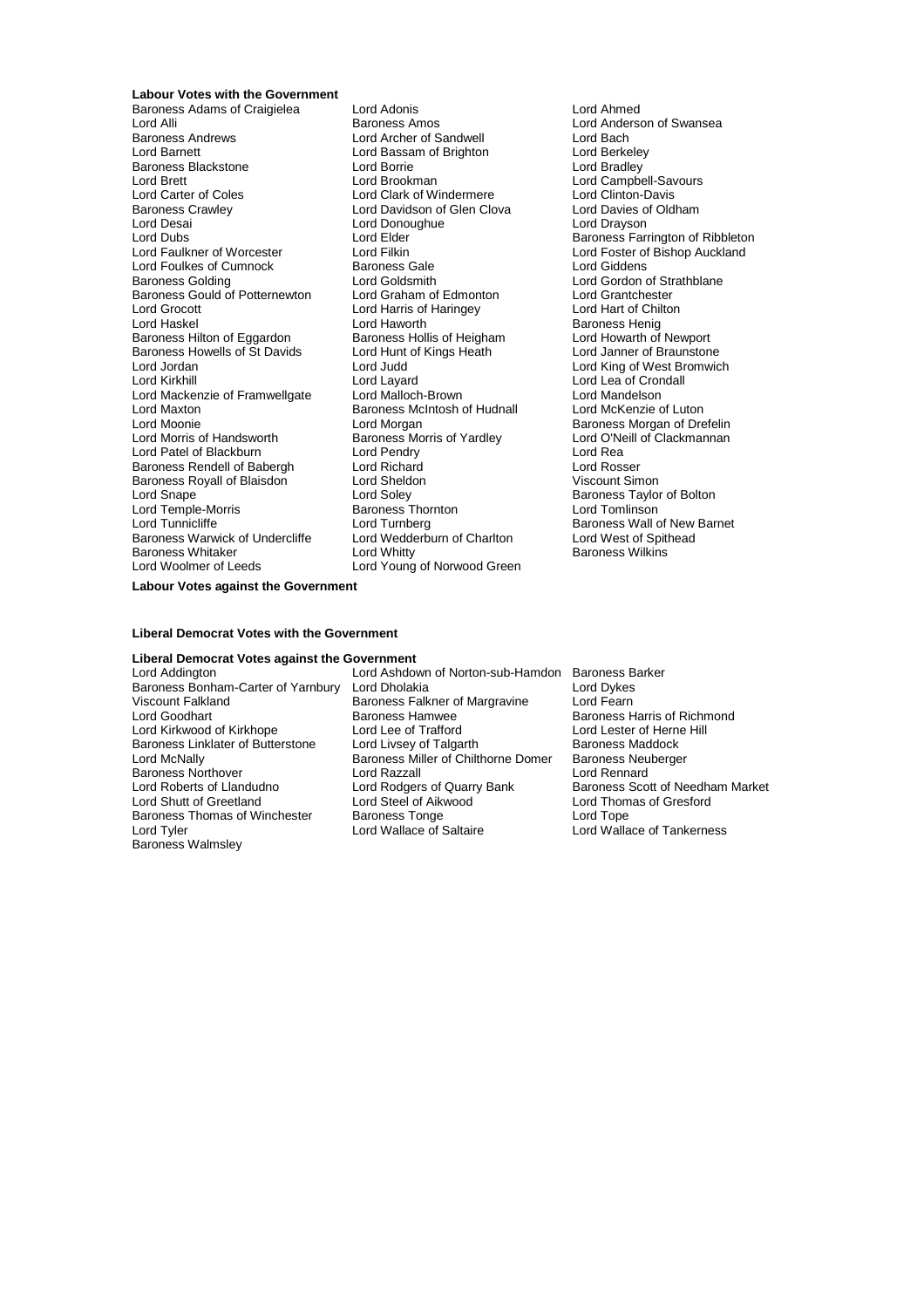**Labour Votes with the Government** Baroness Adams of Craigielea Lord Adonis Lord Ahmed Lord Alli **Example 20 Extinguish Baroness Amos** Correspondent Lord Anderson of Swansea<br>Baroness Andrews **Lord Anderson Correspondent Correspondent Correspondent Correspondent Correspondent Correspond** Baroness Andrews Lord Archer of Sandwell Lord Bach Baroness Blackstone<br>
Lord Brett Lord Brookman<br>
Lord Brookman Examples Blackstone<br>
Lord Brookman Lord Brookman Lord Bradley<br>
Lord Campbell-Savours<br>
Lord Carter of Coles Lord Clark of Windermere Lord Clinton-Davis Lord Carter of Coles **Lord Clark of Windermere** Lord Clinton-Davis<br>
Baroness Crawley **Lord Davidson of Glen Clova** Lord Davies of Oldham Baroness Crawley **Lord Davidson of Glen Clova** Clord Davies of Lord Davies of Lord Davies of Lord Drayson Cordinam<br>
Lord Davies Clord Davies Lord Davies Cordinam Lord Drayson Lord Dubs<br>
Lord Dubs Lord Elder (Elder Baroness Farrington of Ribbleton<br>
Lord Englished Auckland Lord Filkin (Lord Englished Auckland Lord Foulkes of Cumnock<br>
Baroness Golding<br>
Lord Goldsmith Baroness Gould of Potternewton Lord Graham of Edmonton Lord Grantchester Lord Grocott **Lord Harris of Haringey**<br>Lord Haskel **Lord Haworth** Exert recent<br>Baroness Hilton of Eggardon Baroness Hollis of Heigham Lord Howarth of Newport<br>Baroness Howells of St Davids Lord Hunt of Kings Heath Lord Janner of Braunstone Baroness Howells of St Davids Lord Hunt<br>Lord Jordan Lord Judd Lord Jordan Lord Judd Lord King of West Bromwich Lord Mackenzie of Framwellgate Lord Malloch-Brown Lord Mandelson Lord Maxton **Baroness McIntosh of Hudnall**<br>
Lord Moonie **Lord Morgan** Lord Moonie<br>
Lord Morris of Handsworth **Baroness Morris of Yardley** Baroness Morgan of Drefelin<br>
Lord O'Neill of Clackmannan Lord Patel of Blackburn **Lord Pendry Corporation**<br>
Baroness Rendell of Babergh **Lord Richard** Corporation **Lord Rosser** Baroness Rendell of Babergh Lord Richard Lord Rosser Baroness Royall of Blaisdon Lord Sheldon<br>
Lord Snape Lord Soley<br>
Lord Temple-Morris Baroness Thornton Lord Temple-Morris Baroness Thornton Lord Tomlinson Baroness Warwick of Undercliffe<br>Baroness Whitaker Baroness Whitaker **Exercise Seart Constructs Constructs** Baroness Wilkins<br>
Lord Woolmer of Leeds **Baroness Constructs** Lord Young of Norwood Green

Lord Bassam of Brighton<br>Lord Borrie Lord Donoughue Lord Goldsmith<br>
Lord Graham of Edmonton<br>
Lord Grantchester Lord Hams of Hamilton<br>
Lord Haworth Baroness Henig<br>
Baroness Hollis of Heigham Lord Howarth of Newport Lord Layard Lord Lea of Crondall<br>
Lord Malloch-Brown Lord Mandelson Lord Morris of Yardley Lord O'Neill Corp.<br>Lord Pendry Lord Rea Lord Turnberg Baroness Wall of New Barnet<br>
Lord Wedderburn of Charlton<br>
Lord West of Spithead Lord Young of Norwood Green

Lord Filkin<br>Baroness Gale Same Lord Giddens<br>Lord Giddens Baroness Taylor of Bolton

**Labour Votes against the Government**

#### **Liberal Democrat Votes with the Government**

### **Liberal Democrat Votes against the Government**

Lord Kirkwood of Kirkhope Baroness Northover **Lord Razzall**<br>
Lord Roberts of Llandudno **Lord Rodgers of Quarry Bank** Baroness Thomas of Winchester Baroness Tonge<br>Lord Tyler Lord Wallace of Saltaire Baroness Walmsley

Lord Ashdown of Norton-sub-Hamdon Baroness Barker Baroness Bonham-Carter of Yarnbury Lord Dholakia Lord Dukes Viscount Falkland **Baroness Falkner of Margravine** Lord Fearn<br>Lord Goodhart **Baroness Haroness Haronese** Baroness Haroness Haronese Baroness Haroness Haroness Haroness Haroness Haroness Haroness Haroness Haroness Haroness Baroness Hamwee Baroness Harris of Richmond<br>
Lord Lee of Trafford Lord Lester of Herne Hill Baroness Linklater of Butterstone Lord Livsey of Talgarth Baroness Maddock<br>Lord McNally Baroness Miller of Chilthorne Domer Baroness Neuberger Baroness Miller of Chilthorne Domer Baroness Neu<br>Lord Razzall Baroness Neu Lord Shutt of Greetland Lord Steel of Aikwood<br>
Baroness Thomas of Winchester Baroness Tonge Lord Tope Lord Tope Lord Tyler Lord Wallace of Saltaire Lord Wallace of Tankerness

Baroness Scott of Needham Market